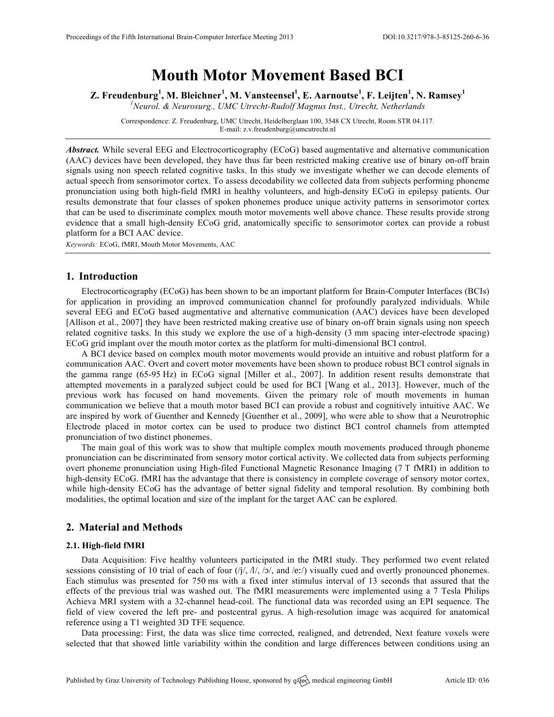# **Mouth Motor Movement Based BCI**

**Z. Freudenburg<sup>1</sup> , M. Bleichner<sup>1</sup> , M. Vansteensel<sup>1</sup> , E. Aarnoutse<sup>1</sup> , F. Leijten<sup>1</sup> , N. Ramsey<sup>1</sup>**

*1 Neurol. & Neurosurg., UMC Utrecht-Rudolf Magnus Inst., Utrecht, Netherlands*

Correspondence: Z. Freudenburg, UMC Utrecht, Heidelberglaan 100, 3548 CX Utrecht, Room STR 04.117. E-mail: z.v.freudenburg@umcutrecht.nl

*Abstract.* While several EEG and Electrocorticography (ECoG) based augmentative and alternative communication (AAC) devices have been developed, they have thus far been restricted making creative use of binary on-off brain signals using non speech related cognitive tasks. In this study we investigate whether we can decode elements of actual speech from sensorimotor cortex. To assess decodability we collected data from subjects performing phoneme pronunciation using both high-field fMRI in healthy volunteers, and high-density ECoG in epilepsy patients. Our results demonstrate that four classes of spoken phonemes produce unique activity patterns in sensorimotor cortex that can be used to discriminate complex mouth motor movements well above chance. These results provide strong evidence that a small high-density ECoG grid, anatomically specific to sensorimotor cortex can provide a robust platform for a BCI AAC device.

*Keywords:* ECoG, fMRI, Mouth Motor Movements, AAC

## **1. Introduction**

Electrocorticography (ECoG) has been shown to be an important platform for Brain-Computer Interfaces (BCIs) for application in providing an improved communication channel for profoundly paralyzed individuals. While several EEG and ECoG based augmentative and alternative communication (AAC) devices have been developed [Allison et al., 2007] they have been restricted making creative use of binary on-off brain signals using non speech related cognitive tasks. In this study we explore the use of a high-density (3 mm spacing inter-electrode spacing) ECoG grid implant over the mouth motor cortex as the platform for multi-dimensional BCI control.

A BCI device based on complex mouth motor movements would provide an intuitive and robust platform for a communication AAC. Overt and covert motor movements have been shown to produce robust BCI control signals in the gamma range (65-95 Hz) in ECoG signal [Miller et al., 2007]. In addition resent results demonstrate that attempted movements in a paralyzed subject could be used for BCI [Wang et al., 2013]. However, much of the previous work has focused on hand movements. Given the primary role of mouth movements in human communication we believe that a mouth motor based BCI can provide a robust and cognitively intuitive AAC. We are inspired by work of Guenther and Kennedy [Guenther et al., 2009], who were able to show that a Neurotrophic Electrode placed in motor cortex can be used to produce two distinct BCI control channels from attempted pronunciation of two distinct phonemes.

The main goal of this work was to show that multiple complex mouth movements produced through phoneme pronunciation can be discriminated from sensory motor cortical activity. We collected data from subjects performing overt phoneme pronunciation using High-filed Functional Magnetic Resonance Imaging (7 T fMRI) in addition to high-density ECoG. fMRI has the advantage that there is consistency in complete coverage of sensory motor cortex, while high-density ECoG has the advantage of better signal fidelity and temporal resolution. By combining both modalities, the optimal location and size of the implant for the target AAC can be explored.

# **2. Material and Methods**

#### **2.1. High-field fMRI**

Data Acquisition: Five healthy volunteers participated in the fMRI study. They performed two event related sessions consisting of 10 trial of each of four  $\frac{1}{1}$ ,  $\frac{1}{2}$ ,  $\frac{1}{2}$ , and  $\frac{1}{e}$ , visually cued and overtly pronounced phonemes. Each stimulus was presented for 750 ms with a fixed inter stimulus interval of 13 seconds that assured that the effects of the previous trial was washed out. The fMRI measurements were implemented using a 7 Tesla Philips Achieva MRI system with a 32-channel head-coil. The functional data was recorded using an EPI sequence. The field of view covered the left pre- and postcentral gyrus. A high-resolution image was acquired for anatomical reference using a T1 weighted 3D TFE sequence.

Data processing: First, the data was slice time corrected, realigned, and detrended, Next feature voxels were selected that that showed little variability within the condition and large differences between conditions using an